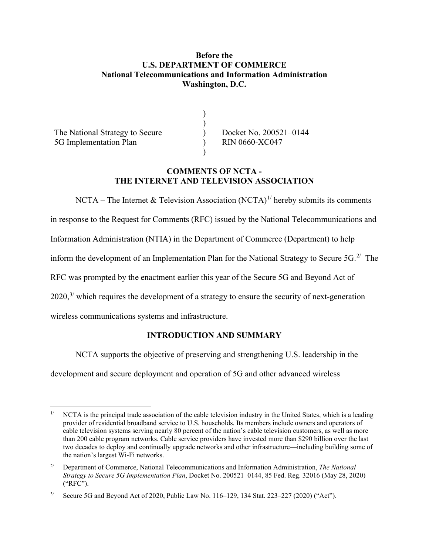## **Before the U.S. DEPARTMENT OF COMMERCE National Telecommunications and Information Administration Washington, D.C.**

) ) ) ) )

The National Strategy to Secure 5G Implementation Plan

Docket No. 200521–0144 RIN 0660-XC047

#### **COMMENTS OF NCTA - THE INTERNET AND TELEVISION ASSOCIATION**

NCTA – The Internet & Television Association (NCTA)<sup>[1/](#page-0-0)</sup> hereby submits its comments

in response to the Request for Comments (RFC) issued by the National Telecommunications and

Information Administration (NTIA) in the Department of Commerce (Department) to help

inform the development of an Implementation Plan for the National Strategy to Secure  $5G$ <sup>[2](#page-0-1)</sup> The

RFC was prompted by the enactment earlier this year of the Secure 5G and Beyond Act of

 $2020$ ,<sup>[3/](#page-0-2)</sup> which requires the development of a strategy to ensure the security of next-generation

wireless communications systems and infrastructure.

# **INTRODUCTION AND SUMMARY**

NCTA supports the objective of preserving and strengthening U.S. leadership in the

development and secure deployment and operation of 5G and other advanced wireless

<span id="page-0-0"></span>NCTA is the principal trade association of the cable television industry in the United States, which is a leading provider of residential broadband service to U.S. households. Its members include owners and operators of cable television systems serving nearly 80 percent of the nation's cable television customers, as well as more than 200 cable program networks. Cable service providers have invested more than \$290 billion over the last two decades to deploy and continually upgrade networks and other infrastructure—including building some of the nation's largest Wi-Fi networks.

<span id="page-0-1"></span><sup>2/</sup> Department of Commerce, National Telecommunications and Information Administration, *The National Strategy to Secure 5G Implementation Plan*, Docket No. 200521–0144, 85 Fed. Reg. 32016 (May 28, 2020) ("RFC").

<span id="page-0-2"></span><sup>3/</sup> Secure 5G and Beyond Act of 2020, Public Law No. 116–129, 134 Stat. 223–227 (2020) ("Act").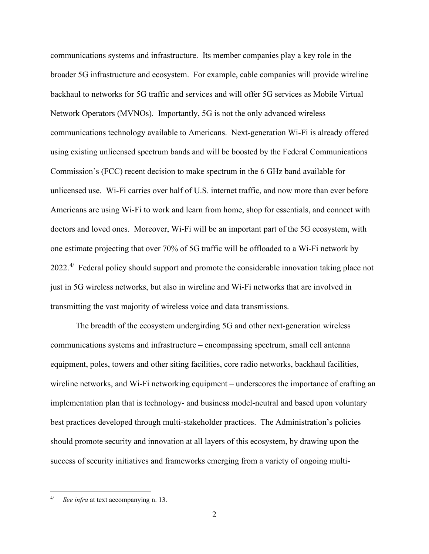communications systems and infrastructure. Its member companies play a key role in the broader 5G infrastructure and ecosystem. For example, cable companies will provide wireline backhaul to networks for 5G traffic and services and will offer 5G services as Mobile Virtual Network Operators (MVNOs). Importantly, 5G is not the only advanced wireless communications technology available to Americans. Next-generation Wi-Fi is already offered using existing unlicensed spectrum bands and will be boosted by the Federal Communications Commission's (FCC) recent decision to make spectrum in the 6 GHz band available for unlicensed use. Wi-Fi carries over half of U.S. internet traffic, and now more than ever before Americans are using Wi-Fi to work and learn from home, shop for essentials, and connect with doctors and loved ones. Moreover, Wi-Fi will be an important part of the 5G ecosystem, with one estimate projecting that over 70% of 5G traffic will be offloaded to a Wi-Fi network by 2022.<sup>[4/](#page-1-0)</sup> Federal policy should support and promote the considerable innovation taking place not just in 5G wireless networks, but also in wireline and Wi-Fi networks that are involved in transmitting the vast majority of wireless voice and data transmissions.

The breadth of the ecosystem undergirding 5G and other next-generation wireless communications systems and infrastructure – encompassing spectrum, small cell antenna equipment, poles, towers and other siting facilities, core radio networks, backhaul facilities, wireline networks, and Wi-Fi networking equipment – underscores the importance of crafting an implementation plan that is technology- and business model-neutral and based upon voluntary best practices developed through multi-stakeholder practices. The Administration's policies should promote security and innovation at all layers of this ecosystem, by drawing upon the success of security initiatives and frameworks emerging from a variety of ongoing multi-

<span id="page-1-0"></span>See infra at text accompanying n. 13.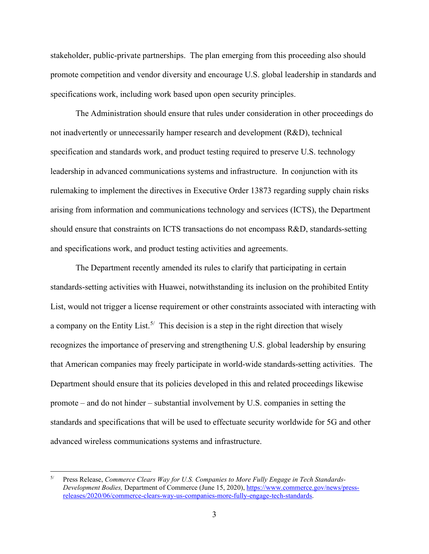stakeholder, public-private partnerships. The plan emerging from this proceeding also should promote competition and vendor diversity and encourage U.S. global leadership in standards and specifications work, including work based upon open security principles.

The Administration should ensure that rules under consideration in other proceedings do not inadvertently or unnecessarily hamper research and development (R&D), technical specification and standards work, and product testing required to preserve U.S. technology leadership in advanced communications systems and infrastructure. In conjunction with its rulemaking to implement the directives in Executive Order 13873 regarding supply chain risks arising from information and communications technology and services (ICTS), the Department should ensure that constraints on ICTS transactions do not encompass R&D, standards-setting and specifications work, and product testing activities and agreements.

The Department recently amended its rules to clarify that participating in certain standards-setting activities with Huawei, notwithstanding its inclusion on the prohibited Entity List, would not trigger a license requirement or other constraints associated with interacting with a company on the Entity List.<sup>[5/](#page-2-0)</sup> This decision is a step in the right direction that wisely recognizes the importance of preserving and strengthening U.S. global leadership by ensuring that American companies may freely participate in world-wide standards-setting activities. The Department should ensure that its policies developed in this and related proceedings likewise promote – and do not hinder – substantial involvement by U.S. companies in setting the standards and specifications that will be used to effectuate security worldwide for 5G and other advanced wireless communications systems and infrastructure.

<span id="page-2-0"></span><sup>5/</sup> Press Release, *Commerce Clears Way for U.S. Companies to More Fully Engage in Tech Standards-Development Bodies,* Department of Commerce (June 15, 2020), [https://www.commerce.gov/news/press](https://www.commerce.gov/news/press-releases/2020/06/commerce-clears-way-us-companies-more-fully-engage-tech-standards)[releases/2020/06/commerce-clears-way-us-companies-more-fully-engage-tech-standards.](https://www.commerce.gov/news/press-releases/2020/06/commerce-clears-way-us-companies-more-fully-engage-tech-standards)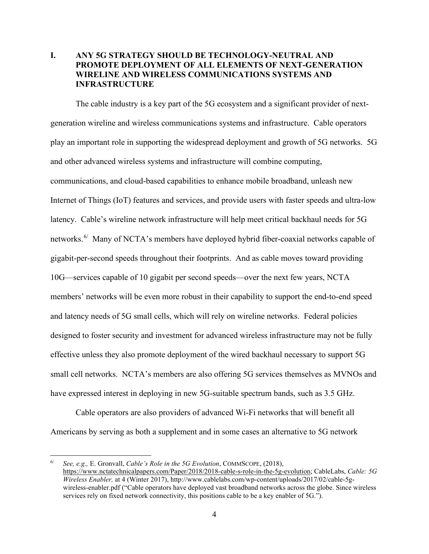## **I. ANY 5G STRATEGY SHOULD BE TECHNOLOGY-NEUTRAL AND PROMOTE DEPLOYMENT OF ALL ELEMENTS OF NEXT-GENERATION WIRELINE AND WIRELESS COMMUNICATIONS SYSTEMS AND INFRASTRUCTURE**

The cable industry is a key part of the 5G ecosystem and a significant provider of nextgeneration wireline and wireless communications systems and infrastructure. Cable operators play an important role in supporting the widespread deployment and growth of 5G networks. 5G and other advanced wireless systems and infrastructure will combine computing, communications, and cloud-based capabilities to enhance mobile broadband, unleash new Internet of Things (IoT) features and services, and provide users with faster speeds and ultra-low latency. Cable's wireline network infrastructure will help meet critical backhaul needs for 5G networks.<sup>[6/](#page-3-0)</sup> Many of NCTA's members have deployed hybrid fiber-coaxial networks capable of gigabit-per-second speeds throughout their footprints. And as cable moves toward providing 10G—services capable of 10 gigabit per second speeds—over the next few years, NCTA members' networks will be even more robust in their capability to support the end-to-end speed and latency needs of 5G small cells, which will rely on wireline networks. Federal policies designed to foster security and investment for advanced wireless infrastructure may not be fully effective unless they also promote deployment of the wired backhaul necessary to support 5G small cell networks. NCTA's members are also offering 5G services themselves as MVNOs and have expressed interest in deploying in new 5G-suitable spectrum bands, such as 3.5 GHz.

Cable operators are also providers of advanced Wi-Fi networks that will benefit all Americans by serving as both a supplement and in some cases an alternative to 5G network

<span id="page-3-0"></span><sup>6/</sup> *See, e.g.,* E. Gronvall, *Cable's Role in the 5G Evolution*, COMMSCOPE, (2018), [https://www.nctatechnicalpapers.com/Paper/2018/2018-cable-s-role-in-the-5g-evolution;](https://www.nctatechnicalpapers.com/Paper/2018/2018-cable-s-role-in-the-5g-evolution) CableLabs, *Cable: 5G Wireless Enabler,* at 4 (Winter 2017), http://www.cablelabs.com/wp-content/uploads/2017/02/cable-5gwireless-enabler.pdf ("Cable operators have deployed vast broadband networks across the globe. Since wireless services rely on fixed network connectivity, this positions cable to be a key enabler of 5G.").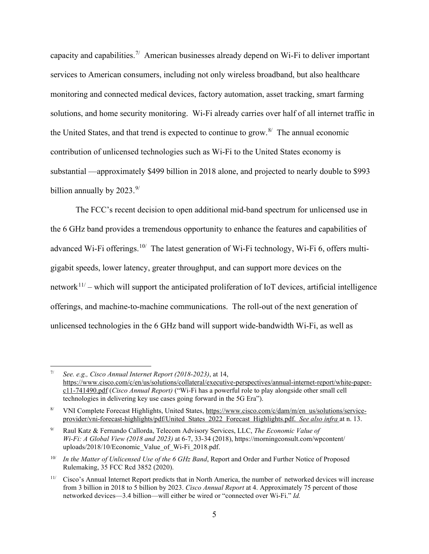capacity and capabilities.<sup>[7](#page-4-0)/</sup> American businesses already depend on Wi-Fi to deliver important services to American consumers, including not only wireless broadband, but also healthcare monitoring and connected medical devices, factory automation, asset tracking, smart farming solutions, and home security monitoring. Wi-Fi already carries over half of all internet traffic in the United States, and that trend is expected to continue to grow. $8/$  The annual economic contribution of unlicensed technologies such as Wi-Fi to the United States economy is substantial —approximately \$499 billion in 2018 alone, and projected to nearly double to \$993 billion annually by  $2023.^{9/}$  $2023.^{9/}$  $2023.^{9/}$ 

The FCC's recent decision to open additional mid-band spectrum for unlicensed use in the 6 GHz band provides a tremendous opportunity to enhance the features and capabilities of advanced Wi-Fi offerings.<sup>[10](#page-4-3)/</sup> The latest generation of Wi-Fi technology, Wi-Fi 6, offers multigigabit speeds, lower latency, greater throughput, and can support more devices on the network<sup>[11](#page-4-4)/</sup> – which will support the anticipated proliferation of IoT devices, artificial intelligence offerings, and machine-to-machine communications.The roll-out of the next generation of unlicensed technologies in the 6 GHz band will support wide-bandwidth Wi-Fi, as well as

<span id="page-4-0"></span><sup>7/</sup> *See. e.g., Cisco Annual Internet Report (2018-2023)*, at 14, [https://www.cisco.com/c/en/us/solutions/collateral/executive-perspectives/annual-internet-report/white-paper](https://www.cisco.com/c/en/us/solutions/collateral/executive-perspectives/annual-internet-report/white-paper-c11-741490.pdf)[c11-741490.pdf](https://www.cisco.com/c/en/us/solutions/collateral/executive-perspectives/annual-internet-report/white-paper-c11-741490.pdf) (*Cisco Annual Report)* ("Wi-Fi has a powerful role to play alongside other small cell technologies in delivering key use cases going forward in the 5G Era").

<span id="page-4-1"></span><sup>8/</sup> VNI Complete Forecast Highlights, United States, [https://www.cisco.com/c/dam/m/en us/solutions/service](https://www.cisco.com/c/dam/m/en_us/solutions/service-provider/vni-forecast-highlights/pdf/United_States_2022_Forecast_Highlights.pdf)[provider/vni-forecast-highlights/pdf/United States 2022 Forecast Highlights.pdf.](https://www.cisco.com/c/dam/m/en_us/solutions/service-provider/vni-forecast-highlights/pdf/United_States_2022_Forecast_Highlights.pdf) *See also infra* at n. 13.

<span id="page-4-2"></span><sup>9/</sup> Raul Katz & Fernando Callorda, Telecom Advisory Services, LLC, *The Economic Value of Wi-Fi: A Global View (2018 and 2023)* at 6-7, 33-34 (2018), https://morningconsult.com/wpcontent/ uploads/2018/10/Economic\_Value\_of\_Wi-Fi\_2018.pdf.

<span id="page-4-3"></span><sup>10/</sup> *In the Matter of Unlicensed Use of the 6 GHz Band*, Report and Order and Further Notice of Proposed Rulemaking, 35 FCC Rcd 3852 (2020).

<span id="page-4-4"></span><sup>11/</sup> Cisco's Annual Internet Report predicts that in North America, the number of networked devices will increase from 3 billion in 2018 to 5 billion by 2023. *Cisco Annual Report* at 4. Approximately 75 percent of those networked devices—3.4 billion—will either be wired or "connected over Wi-Fi." *Id.*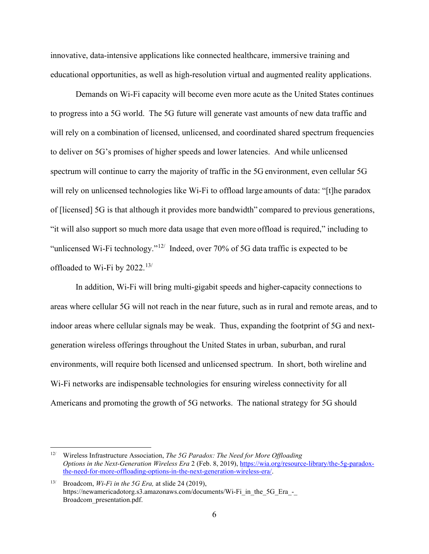innovative, data-intensive applications like connected healthcare, immersive training and educational opportunities, as well as high-resolution virtual and augmented reality applications.

Demands on Wi-Fi capacity will become even more acute as the United States continues to progress into a 5G world. The 5G future will generate vast amounts of new data traffic and will rely on a combination of licensed, unlicensed, and coordinated shared spectrum frequencies to deliver on 5G's promises of higher speeds and lower latencies. And while unlicensed spectrum will continue to carry the majority of traffic in the 5G environment, even cellular 5G will rely on unlicensed technologies like Wi-Fi to offload large amounts of data: "[t]he paradox of [licensed] 5G is that although it provides more bandwidth" compared to previous generations, "it will also support so much more data usage that even more offload is required," including to "unlicensed Wi-Fi technology." $12$ <sup>'</sup> Indeed, over 70% of 5G data traffic is expected to be offloaded to Wi-Fi by  $2022.^{13/2}$  $2022.^{13/2}$  $2022.^{13/2}$ 

In addition, Wi-Fi will bring multi-gigabit speeds and higher-capacity connections to areas where cellular 5G will not reach in the near future, such as in rural and remote areas, and to indoor areas where cellular signals may be weak. Thus, expanding the footprint of 5G and nextgeneration wireless offerings throughout the United States in urban, suburban, and rural environments, will require both licensed and unlicensed spectrum. In short, both wireline and Wi-Fi networks are indispensable technologies for ensuring wireless connectivity for all Americans and promoting the growth of 5G networks. The national strategy for 5G should

<span id="page-5-0"></span><sup>12/</sup> Wireless Infrastructure Association, *The 5G Paradox: The Need for More Offloading Options in the Next-Generation Wireless Era* 2 (Feb. 8, 2019), [https://wia.org/resource-library/the-5g-paradox](https://wia.org/resource-library/the-5g-paradox-the-need-for-more-offloading-options-in-the-next-generation-wireless-era/)[the-need-for-more-offloading-options-in-the-next-generation-wireless-era/.](https://wia.org/resource-library/the-5g-paradox-the-need-for-more-offloading-options-in-the-next-generation-wireless-era/)

<span id="page-5-1"></span><sup>13/</sup> Broadcom, *Wi-Fi in the 5G Era,* at slide 24 (2019), https://newamericadotorg.s3.amazonaws.com/documents/Wi-Fi\_in\_the\_5G\_Era\_-Broadcom\_presentation.pdf.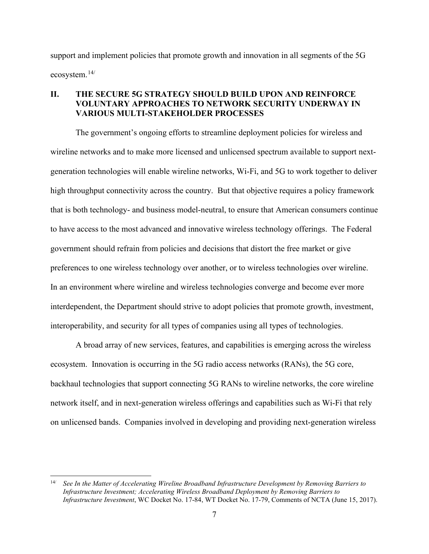support and implement policies that promote growth and innovation in all segments of the 5G ecosystem. [14/](#page-6-0)

## **II. THE SECURE 5G STRATEGY SHOULD BUILD UPON AND REINFORCE VOLUNTARY APPROACHES TO NETWORK SECURITY UNDERWAY IN VARIOUS MULTI-STAKEHOLDER PROCESSES**

The government's ongoing efforts to streamline deployment policies for wireless and wireline networks and to make more licensed and unlicensed spectrum available to support nextgeneration technologies will enable wireline networks, Wi-Fi, and 5G to work together to deliver high throughput connectivity across the country. But that objective requires a policy framework that is both technology- and business model-neutral, to ensure that American consumers continue to have access to the most advanced and innovative wireless technology offerings. The Federal government should refrain from policies and decisions that distort the free market or give preferences to one wireless technology over another, or to wireless technologies over wireline. In an environment where wireline and wireless technologies converge and become ever more interdependent, the Department should strive to adopt policies that promote growth, investment, interoperability, and security for all types of companies using all types of technologies.

A broad array of new services, features, and capabilities is emerging across the wireless ecosystem. Innovation is occurring in the 5G radio access networks (RANs), the 5G core, backhaul technologies that support connecting 5G RANs to wireline networks, the core wireline network itself, and in next-generation wireless offerings and capabilities such as Wi-Fi that rely on unlicensed bands. Companies involved in developing and providing next-generation wireless

<span id="page-6-0"></span><sup>14/</sup> *See In the Matter of Accelerating Wireline Broadband Infrastructure Development by Removing Barriers to Infrastructure Investment; Accelerating Wireless Broadband Deployment by Removing Barriers to Infrastructure Investment*, WC Docket No. 17-84, WT Docket No. 17-79, Comments of NCTA (June 15, 2017).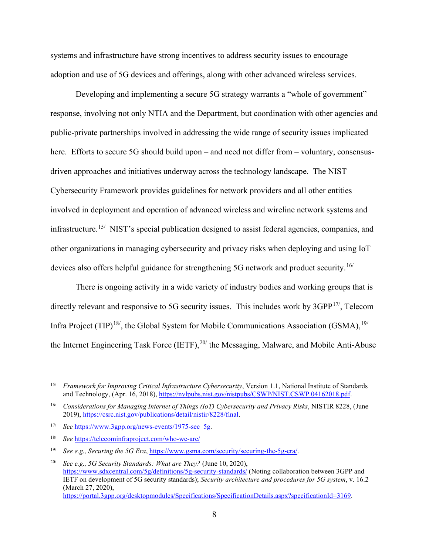systems and infrastructure have strong incentives to address security issues to encourage adoption and use of 5G devices and offerings, along with other advanced wireless services.

 Developing and implementing a secure 5G strategy warrants a "whole of government" response, involving not only NTIA and the Department, but coordination with other agencies and public-private partnerships involved in addressing the wide range of security issues implicated here. Efforts to secure 5G should build upon – and need not differ from – voluntary, consensusdriven approaches and initiatives underway across the technology landscape. The NIST Cybersecurity Framework provides guidelines for network providers and all other entities involved in deployment and operation of advanced wireless and wireline network systems and infrastructure.<sup>[15](#page-7-0)/</sup> NIST's special publication designed to assist federal agencies, companies, and other organizations in managing cybersecurity and privacy risks when deploying and using IoT devices also offers helpful guidance for strengthening 5G network and product security.<sup>[16/](#page-7-1)</sup>

 There is ongoing activity in a wide variety of industry bodies and working groups that is directly relevant and responsive to 5G security issues. This includes work by  $3GPP^{17}$  $3GPP^{17}$  $3GPP^{17}$ , Telecom Infra Project (TIP)<sup>18</sup>, the Global System for Mobile Communications Association (GSMA),  $^{19/}$  $^{19/}$  $^{19/}$ the Internet Engineering Task Force (IETF), $^{20/}$  $^{20/}$  $^{20/}$  the Messaging, Malware, and Mobile Anti-Abuse

<span id="page-7-0"></span><sup>15/</sup> *Framework for Improving Critical Infrastructure Cybersecurity*, Version 1.1, National Institute of Standards and Technology, (Apr. 16, 2018), [https://nvlpubs.nist.gov/nistpubs/CSWP/NIST.CSWP.04162018.pdf.](https://nvlpubs.nist.gov/nistpubs/CSWP/NIST.CSWP.04162018.pdf)

<span id="page-7-1"></span><sup>16/</sup> *Considerations for Managing Internet of Things (IoT) Cybersecurity and Privacy Risks*, NISTIR 8228, (June 2019), [https://csrc.nist.gov/publications/detail/nistir/8228/final.](https://csrc.nist.gov/publications/detail/nistir/8228/final)

<span id="page-7-2"></span><sup>17/</sup> *See* [https://www.3gpp.org/news-events/1975-sec 5g.](https://www.3gpp.org/news-events/1975-sec_5g)

<span id="page-7-3"></span><sup>18/</sup> *See* <https://telecominfraproject.com/who-we-are/>

<span id="page-7-4"></span><sup>19/</sup> *See e.g., Securing the 5G Era*, [https://www.gsma.com/security/securing-the-5g-era/.](https://www.gsma.com/security/securing-the-5g-era/) 

<span id="page-7-5"></span><sup>20/</sup> *See e.g., 5G Security Standards: What are They?* (June 10, 2020), <https://www.sdxcentral.com/5g/definitions/5g-security-standards/> (Noting collaboration between 3GPP and IETF on development of 5G security standards); *Security architecture and procedures for 5G system*, v. 16.2 (March 27, 2020), [https://portal.3gpp.org/desktopmodules/Specifications/SpecificationDetails.aspx?specificationId=3169.](https://portal.3gpp.org/desktopmodules/Specifications/SpecificationDetails.aspx?specificationId=3169)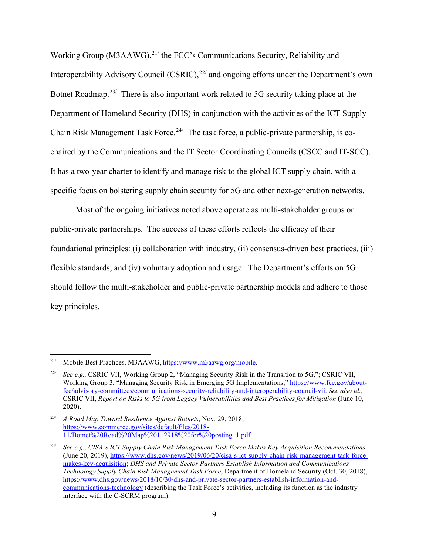Working Group (M3AAWG), $^{21/2}$  $^{21/2}$  $^{21/2}$  the FCC's Communications Security, Reliability and Interoperability Advisory Council  $(CSRIC)^{22/2}$  $(CSRIC)^{22/2}$  $(CSRIC)^{22/2}$  and ongoing efforts under the Department's own Botnet Roadmap.<sup>[23/](#page-8-2)</sup> There is also important work related to 5G security taking place at the Department of Homeland Security (DHS) in conjunction with the activities of the ICT Supply Chain Risk Management Task Force.<sup>[24/](#page-8-3)</sup> The task force, a public-private partnership, is cochaired by the Communications and the IT Sector Coordinating Councils (CSCC and IT-SCC). It has a two-year charter to identify and manage risk to the global ICT supply chain, with a specific focus on bolstering supply chain security for 5G and other next-generation networks.

Most of the ongoing initiatives noted above operate as multi-stakeholder groups or public-private partnerships. The success of these efforts reflects the efficacy of their foundational principles: (i) collaboration with industry, (ii) consensus-driven best practices, (iii) flexible standards, and (iv) voluntary adoption and usage. The Department's efforts on 5G should follow the multi-stakeholder and public-private partnership models and adhere to those key principles.

<span id="page-8-0"></span><sup>21/</sup> Mobile Best Practices, M3AAWG, [https://www.m3aawg.org/mobile.](https://www.m3aawg.org/mobile)

<span id="page-8-1"></span><sup>22/</sup> *See e.g.,* CSRIC VII, Working Group 2, "Managing Security Risk in the Transition to 5G,"; CSRIC VII, Working Group 3, "Managing Security Risk in Emerging 5G Implementations," [https://www.fcc.gov/about](https://www.fcc.gov/about-fcc/advisory-committees/communications-security-reliability-and-interoperability-council-vii)[fcc/advisory-committees/communications-security-reliability-and-interoperability-council-vii.](https://www.fcc.gov/about-fcc/advisory-committees/communications-security-reliability-and-interoperability-council-vii) *See also id.,* CSRIC VII, *Report on Risks to 5G from Legacy Vulnerabilities and Best Practices for Mitigation* (June 10, 2020).

<span id="page-8-2"></span><sup>23/</sup> *A Road Map Toward Resilience Against Botnets*, Nov. 29, 2018, [https://www.commerce.gov/sites/default/files/2018-](https://www.commerce.gov/sites/default/files/2018-11/Botnet%20Road%20Map%20112918%20for%20posting_1.pdf) [11/Botnet%20Road%20Map%20112918%20for%20posting 1.pdf.](https://www.commerce.gov/sites/default/files/2018-11/Botnet%20Road%20Map%20112918%20for%20posting_1.pdf)

<span id="page-8-3"></span><sup>24/</sup> *See e.g., CISA's ICT Supply Chain Risk Management Task Force Makes Key Acquisition Recommendations*  (June 20, 2019)[, https://www.dhs.gov/news/2019/06/20/cisa-s-ict-supply-chain-risk-management-task-force](https://www.dhs.gov/news/2019/06/20/cisa-s-ict-supply-chain-risk-management-task-force-makes-key-acquisition)[makes-key-acquisition;](https://www.dhs.gov/news/2019/06/20/cisa-s-ict-supply-chain-risk-management-task-force-makes-key-acquisition) *DHS and Private Sector Partners Establish Information and Communications Technology Supply Chain Risk Management Task Force*, Department of Homeland Security (Oct. 30, 2018), [https://www.dhs.gov/news/2018/10/30/dhs-and-private-sector-partners-establish-information-and](https://www.dhs.gov/news/2018/10/30/dhs-and-private-sector-partners-establish-information-and-communications-technology)[communications-technology](https://www.dhs.gov/news/2018/10/30/dhs-and-private-sector-partners-establish-information-and-communications-technology) (describing the Task Force's activities, including its function as the industry interface with the C-SCRM program).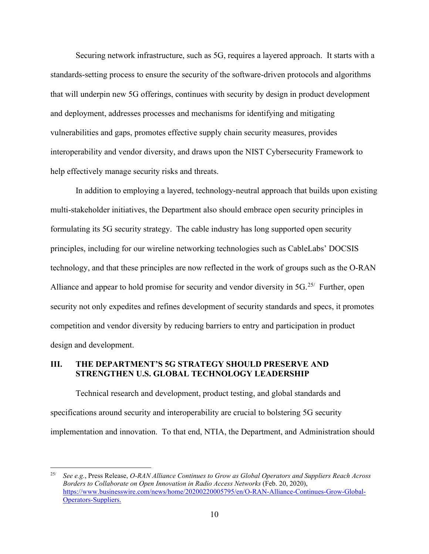Securing network infrastructure, such as 5G, requires a layered approach. It starts with a standards-setting process to ensure the security of the software-driven protocols and algorithms that will underpin new 5G offerings, continues with security by design in product development and deployment, addresses processes and mechanisms for identifying and mitigating vulnerabilities and gaps, promotes effective supply chain security measures, provides interoperability and vendor diversity, and draws upon the NIST Cybersecurity Framework to help effectively manage security risks and threats.

In addition to employing a layered, technology-neutral approach that builds upon existing multi-stakeholder initiatives, the Department also should embrace open security principles in formulating its 5G security strategy. The cable industry has long supported open security principles, including for our wireline networking technologies such as CableLabs' DOCSIS technology, and that these principles are now reflected in the work of groups such as the O-RAN Alliance and appear to hold promise for security and vendor diversity in  $5G<sup>25/</sup>$  $5G<sup>25/</sup>$  $5G<sup>25/</sup>$  Further, open security not only expedites and refines development of security standards and specs, it promotes competition and vendor diversity by reducing barriers to entry and participation in product design and development.

#### **III. THE DEPARTMENT'S 5G STRATEGY SHOULD PRESERVE AND STRENGTHEN U.S. GLOBAL TECHNOLOGY LEADERSHIP**

Technical research and development, product testing, and global standards and specifications around security and interoperability are crucial to bolstering 5G security implementation and innovation. To that end, NTIA, the Department, and Administration should

<span id="page-9-0"></span><sup>25/</sup> *See e.g.*, Press Release, *O-RAN Alliance Continues to Grow as Global Operators and Suppliers Reach Across Borders to Collaborate on Open Innovation in Radio Access Networks* (Feb. 20, 2020), [https://www.businesswire.com/news/home/20200220005795/en/O-RAN-Alliance-Continues-Grow-Global-](https://www.businesswire.com/news/home/20200220005795/en/O-RAN-Alliance-Continues-Grow-Global-Operators-Suppliers)[Operators-Suppliers.](https://www.businesswire.com/news/home/20200220005795/en/O-RAN-Alliance-Continues-Grow-Global-Operators-Suppliers)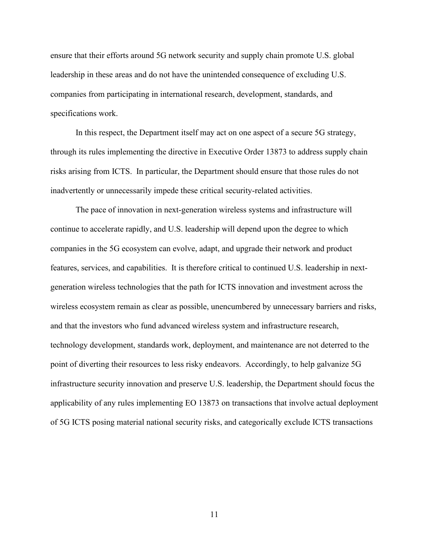ensure that their efforts around 5G network security and supply chain promote U.S. global leadership in these areas and do not have the unintended consequence of excluding U.S. companies from participating in international research, development, standards, and specifications work.

In this respect, the Department itself may act on one aspect of a secure 5G strategy, through its rules implementing the directive in Executive Order 13873 to address supply chain risks arising from ICTS. In particular, the Department should ensure that those rules do not inadvertently or unnecessarily impede these critical security-related activities.

The pace of innovation in next-generation wireless systems and infrastructure will continue to accelerate rapidly, and U.S. leadership will depend upon the degree to which companies in the 5G ecosystem can evolve, adapt, and upgrade their network and product features, services, and capabilities. It is therefore critical to continued U.S. leadership in nextgeneration wireless technologies that the path for ICTS innovation and investment across the wireless ecosystem remain as clear as possible, unencumbered by unnecessary barriers and risks, and that the investors who fund advanced wireless system and infrastructure research, technology development, standards work, deployment, and maintenance are not deterred to the point of diverting their resources to less risky endeavors. Accordingly, to help galvanize 5G infrastructure security innovation and preserve U.S. leadership, the Department should focus the applicability of any rules implementing EO 13873 on transactions that involve actual deployment of 5G ICTS posing material national security risks, and categorically exclude ICTS transactions

11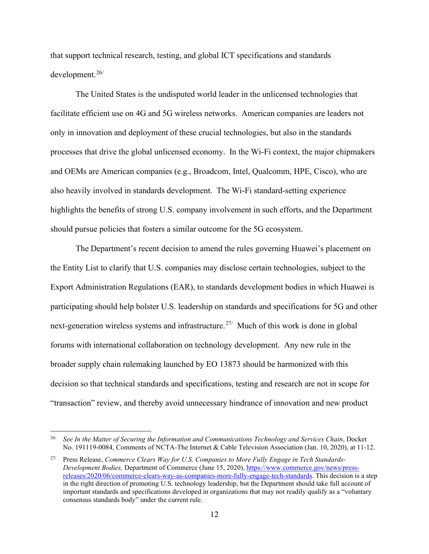that support technical research, testing, and global ICT specifications and standards development.[26/](#page-11-0)

The United States is the undisputed world leader in the unlicensed technologies that facilitate efficient use on 4G and 5G wireless networks. American companies are leaders not only in innovation and deployment of these crucial technologies, but also in the standards processes that drive the global unlicensed economy. In the Wi-Fi context, the major chipmakers and OEMs are American companies (e.g., Broadcom, Intel, Qualcomm, HPE, Cisco), who are also heavily involved in standards development. The Wi-Fi standard-setting experience highlights the benefits of strong U.S. company involvement in such efforts, and the Department should pursue policies that fosters a similar outcome for the 5G ecosystem.

The Department's recent decision to amend the rules governing Huawei's placement on the Entity List to clarify that U.S. companies may disclose certain technologies, subject to the Export Administration Regulations (EAR), to standards development bodies in which Huawei is participating should help bolster U.S. leadership on standards and specifications for 5G and other next-generation wireless systems and infrastructure.<sup>[27](#page-11-1)/</sup> Much of this work is done in global forums with international collaboration on technology development. Any new rule in the broader supply chain rulemaking launched by EO 13873 should be harmonized with this decision so that technical standards and specifications, testing and research are not in scope for "transaction" review, and thereby avoid unnecessary hindrance of innovation and new product

<span id="page-11-0"></span><sup>26/</sup> *See In the Matter of Securing the Information and Communications Technology and Services Chain*, Docket No. 191119-0084, Comments of NCTA-The Internet & Cable Television Association (Jan. 10, 2020), at 11-12.

<span id="page-11-1"></span><sup>27/</sup> Press Release, *Commerce Clears Way for U.S. Companies to More Fully Engage in Tech Standards-Development Bodies,* Department of Commerce (June 15, 2020), [https://www.commerce.gov/news/press](https://www.commerce.gov/news/press-releases/2020/06/commerce-clears-way-us-companies-more-fully-engage-tech-standards)[releases/2020/06/commerce-clears-way-us-companies-more-fully-engage-tech-standards.](https://www.commerce.gov/news/press-releases/2020/06/commerce-clears-way-us-companies-more-fully-engage-tech-standards) This decision is a step in the right direction of promoting U.S. technology leadership, but the Department should take full account of important standards and specifications developed in organizations that may not readily qualify as a "voluntary consensus standards body" under the current rule.